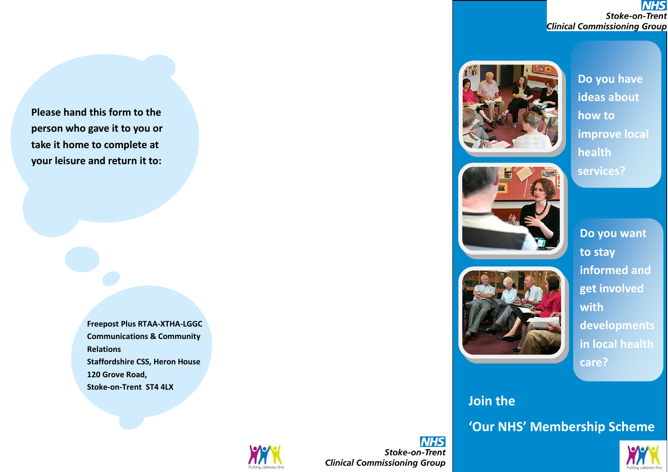**NHS Stoke-on-Trent Clinical Commissioning Group** 

**Join the Communist Communist Communist Communist Communist Communist Communist Communist Communist Communist Co ideas about Membership Scheme Scheme Scheme Do you have how to improve local services?**

> **Do you want to stay informed and get involved with developments in local health care?**

# **Join the**

**'Our NHS' Membership Scheme**



**Please hand this form to the person who gave it to you or take it home to complete at your leisure and return it to:**

> **Freepost Plus RTAA -XTHA -LGGC Communications & Community Relations Staffordshire CSS, Heron House 120 Grove Road, Stoke -on -Trent ST4 4LX**